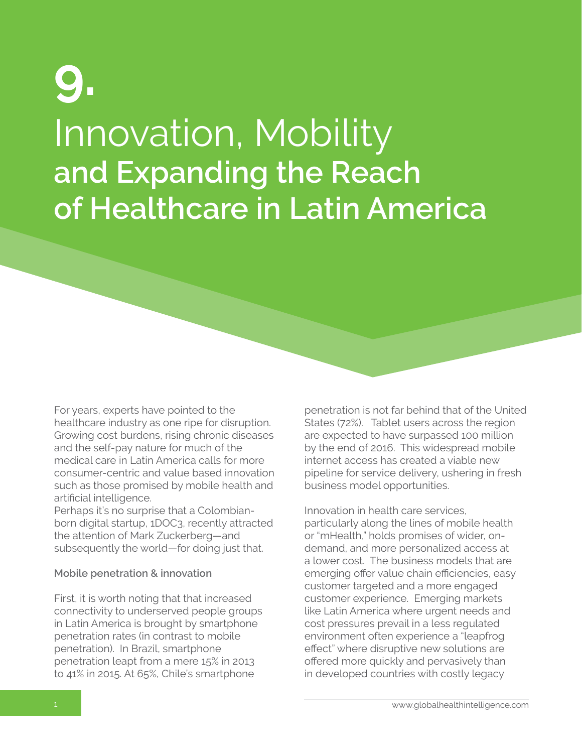## Innovation, Mobility **and Expanding the Reach of Healthcare in Latin America 9.**

For years, experts have pointed to the healthcare industry as one ripe for disruption. Growing cost burdens, rising chronic diseases and the self-pay nature for much of the medical care in Latin America calls for more consumer-centric and value based innovation such as those promised by mobile health and artificial intelligence.

Perhaps it's no surprise that a Colombianborn digital startup, 1DOC3, recently attracted the attention of Mark Zuckerberg—and subsequently the world—for doing just that.

#### **Mobile penetration & innovation**

First, it is worth noting that that increased connectivity to underserved people groups in Latin America is brought by smartphone penetration rates (in contrast to mobile penetration). In Brazil, smartphone penetration leapt from a mere 15% in 2013 to 41% in 2015. At 65%, Chile's smartphone

penetration is not far behind that of the United States (72%). Tablet users across the region are expected to have surpassed 100 million by the end of 2016. This widespread mobile internet access has created a viable new pipeline for service delivery, ushering in fresh business model opportunities.

Innovation in health care services, particularly along the lines of mobile health or "mHealth," holds promises of wider, ondemand, and more personalized access at a lower cost. The business models that are emerging offer value chain efficiencies, easy customer targeted and a more engaged customer experience. Emerging markets like Latin America where urgent needs and cost pressures prevail in a less regulated environment often experience a "leapfrog effect" where disruptive new solutions are offered more quickly and pervasively than in developed countries with costly legacy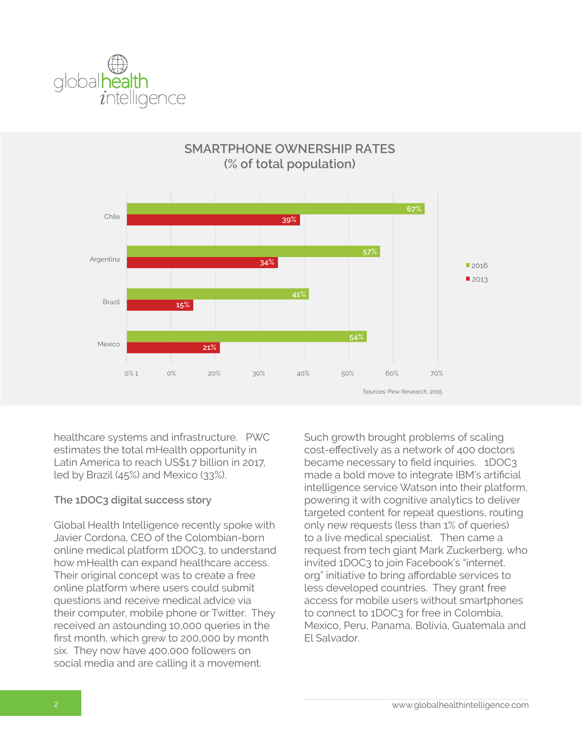



### **SMARTPHONE OWNERSHIP RATES (% of total population)**

healthcare systems and infrastructure. PWC estimates the total mHealth opportunity in Latin America to reach US\$1.7 billion in 2017, led by Brazil (45%) and Mexico (33%).

### **The 1DOC3 digital success story**

Global Health Intelligence recently spoke with Javier Cordona, CEO of the Colombian-born online medical platform 1DOC3, to understand how mHealth can expand healthcare access. Their original concept was to create a free online platform where users could submit questions and receive medical advice via their computer, mobile phone or Twitter. They received an astounding 10,000 queries in the first month, which grew to 200,000 by month six. They now have 400,000 followers on social media and are calling it a movement.

Such growth brought problems of scaling cost-effectively as a network of 400 doctors became necessary to field inquiries. 1DOC3 made a bold move to integrate IBM's artificial intelligence service Watson into their platform, powering it with cognitive analytics to deliver targeted content for repeat questions, routing only new requests (less than 1% of queries) to a live medical specialist. Then came a request from tech giant Mark Zuckerberg, who invited 1DOC3 to join Facebook's "internet. org" initiative to bring affordable services to less developed countries. They grant free access for mobile users without smartphones to connect to 1DOC3 for free in Colombia, Mexico, Peru, Panama, Bolivia, Guatemala and El Salvador.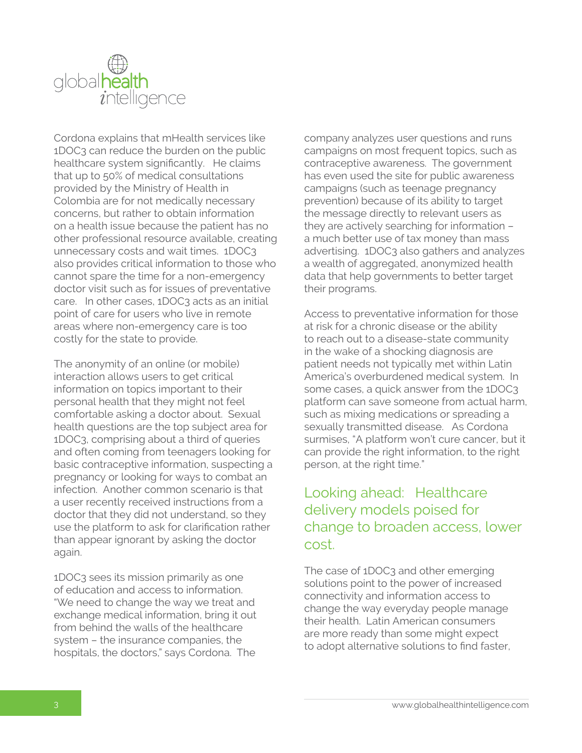

Cordona explains that mHealth services like 1DOC3 can reduce the burden on the public healthcare system significantly. He claims that up to 50% of medical consultations provided by the Ministry of Health in Colombia are for not medically necessary concerns, but rather to obtain information on a health issue because the patient has no other professional resource available, creating unnecessary costs and wait times. 1DOC3 also provides critical information to those who cannot spare the time for a non-emergency doctor visit such as for issues of preventative care. In other cases, 1DOC3 acts as an initial point of care for users who live in remote areas where non-emergency care is too costly for the state to provide.

The anonymity of an online (or mobile) interaction allows users to get critical information on topics important to their personal health that they might not feel comfortable asking a doctor about. Sexual health questions are the top subject area for 1DOC3, comprising about a third of queries and often coming from teenagers looking for basic contraceptive information, suspecting a pregnancy or looking for ways to combat an infection. Another common scenario is that a user recently received instructions from a doctor that they did not understand, so they use the platform to ask for clarification rather than appear ignorant by asking the doctor again.

1DOC3 sees its mission primarily as one of education and access to information. "We need to change the way we treat and exchange medical information, bring it out from behind the walls of the healthcare system – the insurance companies, the hospitals, the doctors," says Cordona. The

company analyzes user questions and runs campaigns on most frequent topics, such as contraceptive awareness. The government has even used the site for public awareness campaigns (such as teenage pregnancy prevention) because of its ability to target the message directly to relevant users as they are actively searching for information – a much better use of tax money than mass advertising. 1DOC3 also gathers and analyzes a wealth of aggregated, anonymized health data that help governments to better target their programs.

Access to preventative information for those at risk for a chronic disease or the ability to reach out to a disease-state community in the wake of a shocking diagnosis are patient needs not typically met within Latin America's overburdened medical system. In some cases, a quick answer from the 1DOC3 platform can save someone from actual harm, such as mixing medications or spreading a sexually transmitted disease. As Cordona surmises, "A platform won't cure cancer, but it can provide the right information, to the right person, at the right time."

## Looking ahead: Healthcare delivery models poised for change to broaden access, lower cost.

The case of 1DOC3 and other emerging solutions point to the power of increased connectivity and information access to change the way everyday people manage their health. Latin American consumers are more ready than some might expect to adopt alternative solutions to find faster,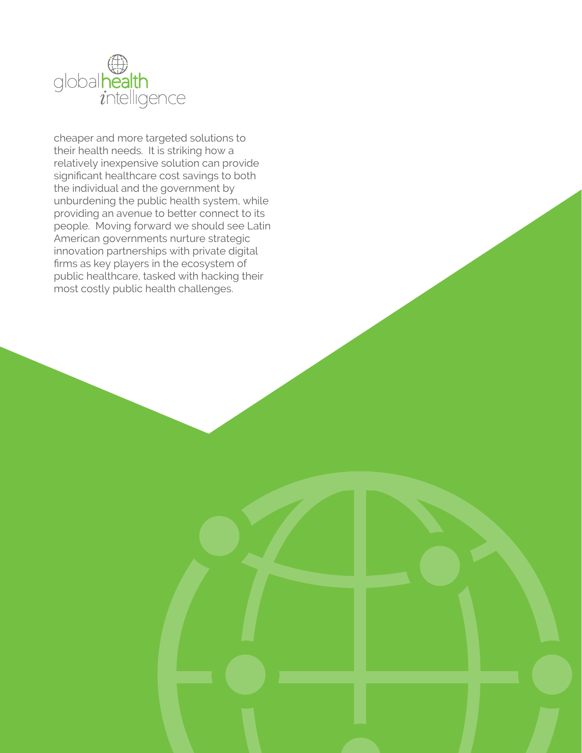

cheaper and more targeted solutions to their health needs. It is striking how a relatively inexpensive solution can provide significant healthcare cost savings to both the individual and the government by unburdening the public health system, while providing an avenue to better connect to its people. Moving forward we should see Latin American governments nurture strategic innovation partnerships with private digital firms as key players in the ecosystem of public healthcare, tasked with hacking their most costly public health challenges.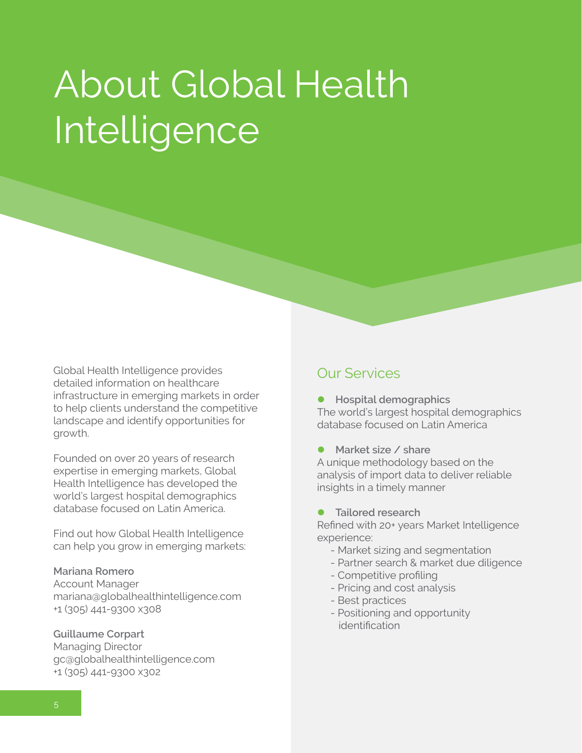# About Global Health Intelligence

Global Health Intelligence provides detailed information on healthcare infrastructure in emerging markets in order to help clients understand the competitive landscape and identify opportunities for growth.

Founded on over 20 years of research expertise in emerging markets, Global Health Intelligence has developed the world's largest hospital demographics database focused on Latin America.

Find out how Global Health Intelligence can help you grow in emerging markets:

### **Mariana Romero**

Account Manager mariana@globalhealthintelligence.com +1 (305) 441-9300 x308

#### **Guillaume Corpart**

Managing Director gc@globalhealthintelligence.com +1 (305) 441-9300 x302

### Our Services

**•** Hospital demographics The world's largest hospital demographics database focused on Latin America

l **Market size / share** A unique methodology based on the

analysis of import data to deliver reliable insights in a timely manner

l **Tailored research**

Refined with 20+ years Market Intelligence experience:

- Market sizing and segmentation
- Partner search & market due diligence
- Competitive profiling
- Pricing and cost analysis
- Best practices
- Positioning and opportunity identification